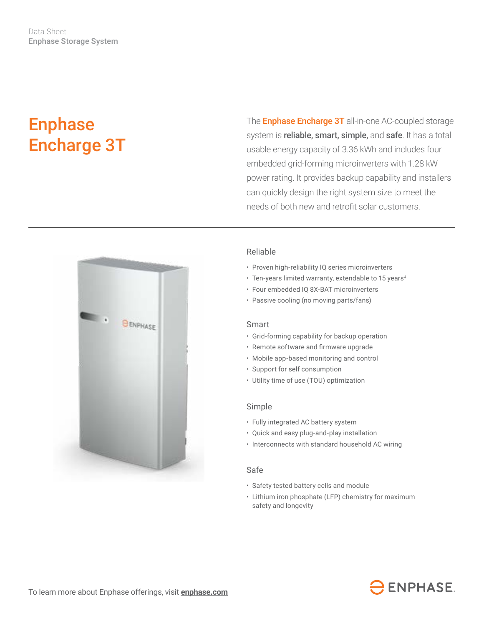# Enphase Encharge 3T

The **Enphase Encharge 3T** all-in-one AC-coupled storage system is *reliable, smart, simple, and safe*. It has a total usable energy capacity of 3.36 kWh and includes four embedded grid-forming microinverters with 1.28 kW power rating. It provides backup capability and installers can quickly design the right system size to meet the needs of both new and retrofit solar customers.



### Reliable

- Proven high-reliability IQ series microinverters
- Ten-years limited warranty, extendable to 15 years<sup>4</sup>
- Four embedded IQ 8X-BAT microinverters
- Passive cooling (no moving parts/fans)

#### Smart

- Grid-forming capability for backup operation
- • Remote software and firmware upgrade
- Mobile app-based monitoring and control
- Support for self consumption
- Utility time of use (TOU) optimization

#### Simple

- Fully integrated AC battery system
- Quick and easy plug-and-play installation
- Interconnects with standard household AC wiring

#### Safe

- Safety tested battery cells and module
- Lithium iron phosphate (LFP) chemistry for maximum safety and longevity